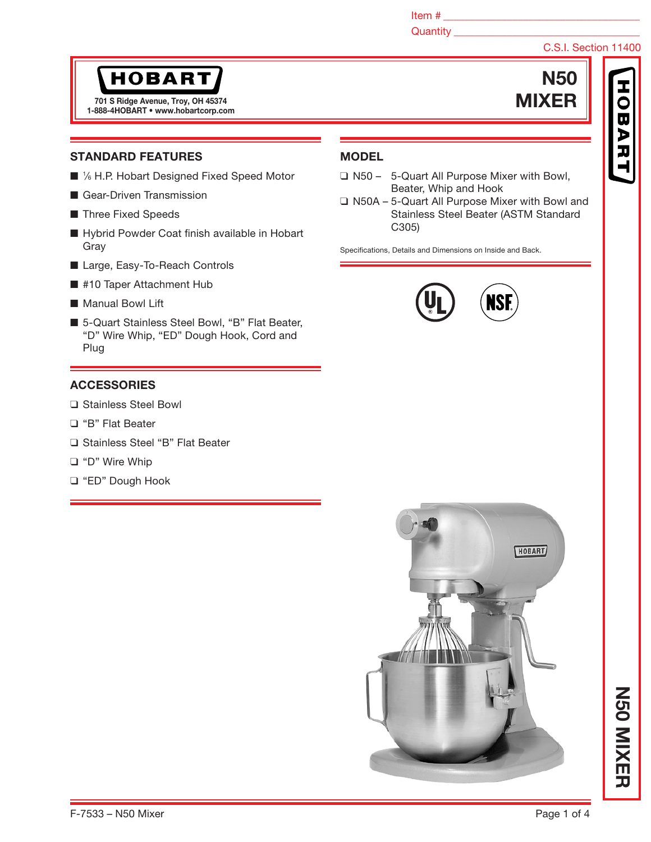Item  $\#$ 

Quantity **Quantity** 

# C.S.I. Section 11400

 $\overline{\mathbf{u}}$ 

N50

# **HOBART**

1-888-4HOBART • www.hobartcorp.com TO1 S Ridge Avenue, Troy, OH 45374 MIXER

## STANDARD FEATURES

- 1/6 H.P. Hobart Designed Fixed Speed Motor
- Gear-Driven Transmission
- Three Fixed Speeds
- Hybrid Powder Coat finish available in Hobart Gray
- Large, Easy-To-Reach Controls
- #10 Taper Attachment Hub
- Manual Bowl Lift
- 5-Quart Stainless Steel Bowl, "B" Flat Beater, "D" Wire Whip, "ED" Dough Hook, Cord and Plug

## **ACCESSORIES**

- ❑ Stainless Steel Bowl
- ❑ "B" Flat Beater
- ❑ Stainless Steel "B" Flat Beater
- ❑ "D" Wire Whip
- ❑ "ED" Dough Hook

# **MODEL**

- ❑ N50 5-Quart All Purpose Mixer with Bowl, Beater, Whip and Hook
- ❑ N50A 5-Quart All Purpose Mixer with Bowl and Stainless Steel Beater (ASTM Standard C305)

Specifications, Details and Dimensions on Inside and Back.





N50 MIXER

**NSO NIXER**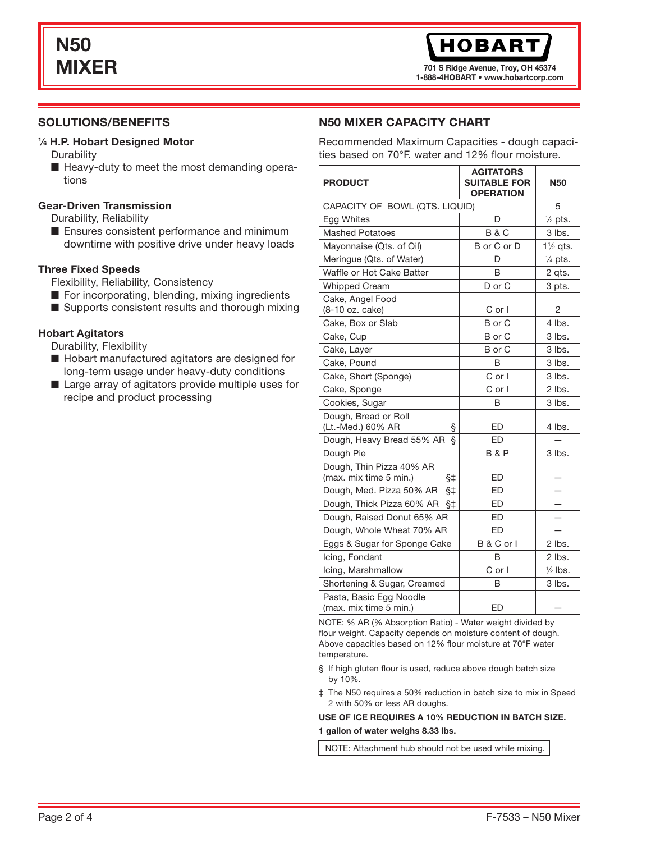701 S Ridge Avenue, Troy, OH 45374 1-888-4HOBART • www.hobartcorp.com

## SOLUTIONS/BENEFITS

#### 1 ⁄6 H.P. Hobart Designed Motor

- **Durability**
- Heavy-duty to meet the most demanding operations

#### Gear-Driven Transmission

Durability, Reliability

■ Ensures consistent performance and minimum downtime with positive drive under heavy loads

#### Three Fixed Speeds

Flexibility, Reliability, Consistency

- For incorporating, blending, mixing ingredients
- Supports consistent results and thorough mixing

## Hobart Agitators

Durability, Flexibility

- Hobart manufactured agitators are designed for long-term usage under heavy-duty conditions
- Large array of agitators provide multiple uses for recipe and product processing

## N50 MIXER CAPACITY CHART

Recommended Maximum Capacities - dough capacities based on 70°F. water and 12% flour moisture.

| <b>PRODUCT</b>                                           | AGITATORS<br><b>SUITABLE FOR</b><br><b>OPERATION</b> | <b>N50</b>          |
|----------------------------------------------------------|------------------------------------------------------|---------------------|
| CAPACITY OF BOWL (QTS. LIQUID)                           | 5                                                    |                     |
| Egg Whites                                               | D                                                    | $\frac{1}{2}$ pts.  |
| <b>Mashed Potatoes</b>                                   | <b>B&amp;C</b>                                       | 3 lbs.              |
| Mayonnaise (Qts. of Oil)                                 | B or C or D                                          | $1\frac{1}{2}$ ats. |
| Meringue (Qts. of Water)                                 | D                                                    | $\frac{1}{4}$ pts.  |
| Waffle or Hot Cake Batter                                | B                                                    | 2 qts.              |
| <b>Whipped Cream</b>                                     | D or C                                               | 3 pts.              |
| Cake, Angel Food<br>(8-10 oz. cake)                      | $C$ or $I$                                           | 2                   |
| Cake, Box or Slab                                        | B or C                                               | 4 lbs.              |
| Cake, Cup                                                | B or C                                               | $3$ lbs.            |
| Cake, Layer                                              | B or C                                               | 3 lbs.              |
| Cake, Pound                                              | B                                                    | 3 lbs.              |
| Cake, Short (Sponge)                                     | $C$ or $I$                                           | $3$ lbs.            |
| Cake, Sponge                                             | $C$ or $I$                                           | 2 lbs.              |
| Cookies, Sugar                                           | B                                                    | 3 lbs.              |
| Dough, Bread or Roll<br>(Lt.-Med.) 60% AR<br>ş           | ED                                                   | 4 lbs.              |
| Ş<br>Dough, Heavy Bread 55% AR                           | ED                                                   |                     |
| Dough Pie                                                | <b>B&amp;P</b>                                       | $3$ lbs.            |
| Dough, Thin Pizza 40% AR<br>(max. mix time 5 min.)<br>§‡ | ED                                                   |                     |
| Dough, Med. Pizza 50% AR<br>§‡                           | <b>ED</b>                                            |                     |
| Dough, Thick Pizza 60% AR<br>§‡                          | ED                                                   |                     |
| Dough, Raised Donut 65% AR                               | ED                                                   |                     |
| Dough, Whole Wheat 70% AR                                | ED                                                   |                     |
| Eggs & Sugar for Sponge Cake                             | B & C or I                                           | 2 lbs.              |
| Icing, Fondant                                           | B                                                    | 2 lbs.              |
| Icing, Marshmallow                                       | $C$ or $I$                                           | $\frac{1}{2}$ lbs.  |
| Shortening & Sugar, Creamed                              | B                                                    | 3 lbs.              |
| Pasta, Basic Egg Noodle<br>(max. mix time 5 min.)        | ED                                                   |                     |

NOTE: % AR (% Absorption Ratio) - Water weight divided by flour weight. Capacity depends on moisture content of dough. Above capacities based on 12% flour moisture at 70°F water temperature.

- § If high gluten flour is used, reduce above dough batch size by 10%.
- ‡ The N50 requires a 50% reduction in batch size to mix in Speed 2 with 50% or less AR doughs.

#### USE OF ICE REQUIRES A 10% REDUCTION IN BATCH SIZE.

#### 1 gallon of water weighs 8.33 lbs.

NOTE: Attachment hub should not be used while mixing.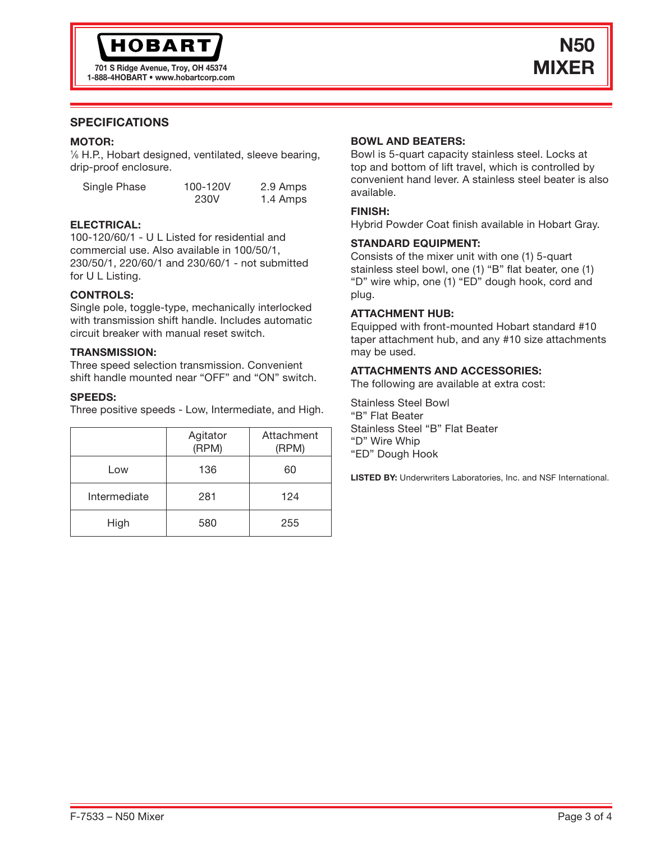## SPECIFICATIONS

#### MOTOR:

1 ⁄6 H.P., Hobart designed, ventilated, sleeve bearing, drip-proof enclosure.

| Single Phase | 100-120V | 2.9 Amps |
|--------------|----------|----------|
|              | 230V     | 1.4 Amps |

#### ELECTRICAL:

100-120/60/1 - U L Listed for residential and commercial use. Also available in 100/50/1, 230/50/1, 220/60/1 and 230/60/1 - not submitted for U L Listing.

#### CONTROLS:

Single pole, toggle-type, mechanically interlocked with transmission shift handle. Includes automatic circuit breaker with manual reset switch.

#### TRANSMISSION:

Three speed selection transmission. Convenient shift handle mounted near "OFF" and "ON" switch.

#### SPEEDS:

Three positive speeds - Low, Intermediate, and High.

|              | Agitator<br>(RPM) | Attachment<br>(RPM) |
|--------------|-------------------|---------------------|
| Low          | 136               | 60                  |
| Intermediate | 281               | 124                 |
| High         | 580               | 255                 |

## BOWL AND BEATERS:

Bowl is 5-quart capacity stainless steel. Locks at top and bottom of lift travel, which is controlled by convenient hand lever. A stainless steel beater is also available.

## FINISH:

Hybrid Powder Coat finish available in Hobart Gray.

#### STANDARD EQUIPMENT:

Consists of the mixer unit with one (1) 5-quart stainless steel bowl, one (1) "B" flat beater, one (1) "D" wire whip, one (1) "ED" dough hook, cord and plug.

#### ATTACHMENT HUB:

Equipped with front-mounted Hobart standard #10 taper attachment hub, and any #10 size attachments may be used.

#### ATTACHMENTS AND ACCESSORIES:

The following are available at extra cost:

Stainless Steel Bowl "B" Flat Beater Stainless Steel "B" Flat Beater "D" Wire Whip "ED" Dough Hook

LISTED BY: Underwriters Laboratories, Inc. and NSF International.